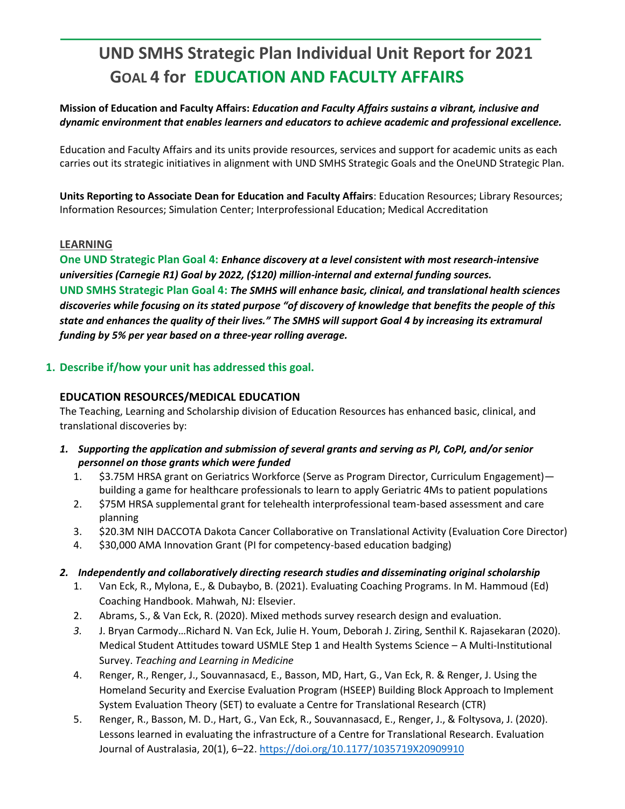# **UND SMHS Strategic Plan Individual Unit Report for 2021 GOAL 4 for EDUCATION AND FACULTY AFFAIRS**

## **Mission of Education and Faculty Affairs:** *Education and Faculty Affairs sustains a vibrant, inclusive and dynamic environment that enables learners and educators to achieve academic and professional excellence.*

Education and Faculty Affairs and its units provide resources, services and support for academic units as each carries out its strategic initiatives in alignment with UND SMHS Strategic Goals and the OneUND Strategic Plan.

**Units Reporting to Associate Dean for Education and Faculty Affairs**: Education Resources; Library Resources; Information Resources; Simulation Center; Interprofessional Education; Medical Accreditation

## **LEARNING**

**One UND Strategic Plan Goal 4:** *Enhance discovery at a level consistent with most research-intensive universities (Carnegie R1) Goal by 2022, (\$120) million-internal and external funding sources.* **UND SMHS Strategic Plan Goal 4:** *The SMHS will enhance basic, clinical, and translational health sciences discoveries while focusing on its stated purpose "of discovery of knowledge that benefits the people of this state and enhances the quality of their lives." The SMHS will support Goal 4 by increasing its extramural funding by 5% per year based on a three-year rolling average.*

## **1. Describe if/how your unit has addressed this goal.**

## **EDUCATION RESOURCES/MEDICAL EDUCATION**

The Teaching, Learning and Scholarship division of Education Resources has enhanced basic, clinical, and translational discoveries by:

- *1. Supporting the application and submission of several grants and serving as PI, CoPI, and/or senior personnel on those grants which were funded*
	- 1. \$3.75M HRSA grant on Geriatrics Workforce (Serve as Program Director, Curriculum Engagement) building a game for healthcare professionals to learn to apply Geriatric 4Ms to patient populations
	- 2. \$75M HRSA supplemental grant for telehealth interprofessional team-based assessment and care planning
	- 3. \$20.3M NIH DACCOTA Dakota Cancer Collaborative on Translational Activity (Evaluation Core Director)
	- 4. \$30,000 AMA Innovation Grant (PI for competency-based education badging)
- *2. Independently and collaboratively directing research studies and disseminating original scholarship*
	- 1. Van Eck, R., Mylona, E., & Dubaybo, B. (2021). Evaluating Coaching Programs. In M. Hammoud (Ed) Coaching Handbook. Mahwah, NJ: Elsevier.
	- 2. Abrams, S., & Van Eck, R. (2020). Mixed methods survey research design and evaluation.
	- *3.* J. Bryan Carmody…Richard N. Van Eck, Julie H. Youm, Deborah J. Ziring, Senthil K. Rajasekaran (2020). Medical Student Attitudes toward USMLE Step 1 and Health Systems Science – A Multi-Institutional Survey. *Teaching and Learning in Medicine*
	- 4. Renger, R., Renger, J., Souvannasacd, E., Basson, MD, Hart, G., Van Eck, R. & Renger, J. Using the Homeland Security and Exercise Evaluation Program (HSEEP) Building Block Approach to Implement System Evaluation Theory (SET) to evaluate a Centre for Translational Research (CTR)
	- 5. Renger, R., Basson, M. D., Hart, G., Van Eck, R., Souvannasacd, E., Renger, J., & Foltysova, J. (2020). Lessons learned in evaluating the infrastructure of a Centre for Translational Research. Evaluation Journal of Australasia, 20(1), 6–22.<https://doi.org/10.1177/1035719X20909910>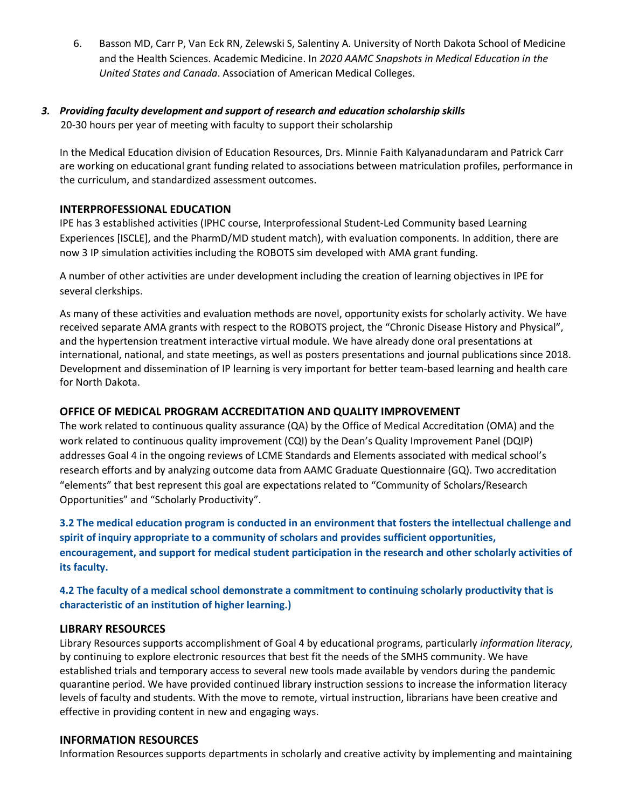6. Basson MD, Carr P, Van Eck RN, Zelewski S, Salentiny A. University of North Dakota School of Medicine and the Health Sciences. Academic Medicine. In *2020 AAMC Snapshots in Medical Education in the United States and Canada*. Association of American Medical Colleges.

## *3. Providing faculty development and support of research and education scholarship skills* 20-30 hours per year of meeting with faculty to support their scholarship

In the Medical Education division of Education Resources, Drs. Minnie Faith Kalyanadundaram and Patrick Carr are working on educational grant funding related to associations between matriculation profiles, performance in the curriculum, and standardized assessment outcomes.

#### **INTERPROFESSIONAL EDUCATION**

IPE has 3 established activities (IPHC course, Interprofessional Student-Led Community based Learning Experiences [ISCLE], and the PharmD/MD student match), with evaluation components. In addition, there are now 3 IP simulation activities including the ROBOTS sim developed with AMA grant funding.

A number of other activities are under development including the creation of learning objectives in IPE for several clerkships.

As many of these activities and evaluation methods are novel, opportunity exists for scholarly activity. We have received separate AMA grants with respect to the ROBOTS project, the "Chronic Disease History and Physical", and the hypertension treatment interactive virtual module. We have already done oral presentations at international, national, and state meetings, as well as posters presentations and journal publications since 2018. Development and dissemination of IP learning is very important for better team-based learning and health care for North Dakota.

## **OFFICE OF MEDICAL PROGRAM ACCREDITATION AND QUALITY IMPROVEMENT**

The work related to continuous quality assurance (QA) by the Office of Medical Accreditation (OMA) and the work related to continuous quality improvement (CQI) by the Dean's Quality Improvement Panel (DQIP) addresses Goal 4 in the ongoing reviews of LCME Standards and Elements associated with medical school's research efforts and by analyzing outcome data from AAMC Graduate Questionnaire (GQ). Two accreditation "elements" that best represent this goal are expectations related to "Community of Scholars/Research Opportunities" and "Scholarly Productivity".

**3.2 The medical education program is conducted in an environment that fosters the intellectual challenge and spirit of inquiry appropriate to a community of scholars and provides sufficient opportunities, encouragement, and support for medical student participation in the research and other scholarly activities of its faculty.** 

# **4.2 The faculty of a medical school demonstrate a commitment to continuing scholarly productivity that is characteristic of an institution of higher learning.)**

## **LIBRARY RESOURCES**

Library Resources supports accomplishment of Goal 4 by educational programs, particularly *information literacy*, by continuing to explore electronic resources that best fit the needs of the SMHS community. We have established trials and temporary access to several new tools made available by vendors during the pandemic quarantine period. We have provided continued library instruction sessions to increase the information literacy levels of faculty and students. With the move to remote, virtual instruction, librarians have been creative and effective in providing content in new and engaging ways.

#### **INFORMATION RESOURCES**

Information Resources supports departments in scholarly and creative activity by implementing and maintaining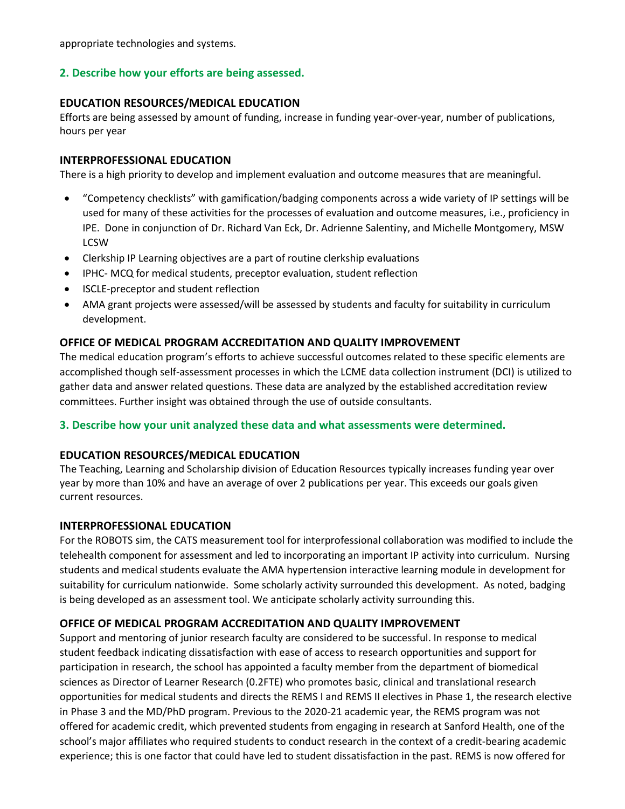appropriate technologies and systems.

## **2. Describe how your efforts are being assessed.**

## **EDUCATION RESOURCES/MEDICAL EDUCATION**

Efforts are being assessed by amount of funding, increase in funding year-over-year, number of publications, hours per year

#### **INTERPROFESSIONAL EDUCATION**

There is a high priority to develop and implement evaluation and outcome measures that are meaningful.

- "Competency checklists" with gamification/badging components across a wide variety of IP settings will be used for many of these activities for the processes of evaluation and outcome measures, i.e., proficiency in IPE. Done in conjunction of Dr. Richard Van Eck, Dr. Adrienne Salentiny, and Michelle Montgomery, MSW LCSW
- Clerkship IP Learning objectives are a part of routine clerkship evaluations
- IPHC- MCQ for medical students, preceptor evaluation, student reflection
- ISCLE-preceptor and student reflection
- AMA grant projects were assessed/will be assessed by students and faculty for suitability in curriculum development.

#### **OFFICE OF MEDICAL PROGRAM ACCREDITATION AND QUALITY IMPROVEMENT**

The medical education program's efforts to achieve successful outcomes related to these specific elements are accomplished though self-assessment processes in which the LCME data collection instrument (DCI) is utilized to gather data and answer related questions. These data are analyzed by the established accreditation review committees. Further insight was obtained through the use of outside consultants.

#### **3. Describe how your unit analyzed these data and what assessments were determined.**

## **EDUCATION RESOURCES/MEDICAL EDUCATION**

The Teaching, Learning and Scholarship division of Education Resources typically increases funding year over year by more than 10% and have an average of over 2 publications per year. This exceeds our goals given current resources.

#### **INTERPROFESSIONAL EDUCATION**

For the ROBOTS sim, the CATS measurement tool for interprofessional collaboration was modified to include the telehealth component for assessment and led to incorporating an important IP activity into curriculum. Nursing students and medical students evaluate the AMA hypertension interactive learning module in development for suitability for curriculum nationwide. Some scholarly activity surrounded this development. As noted, badging is being developed as an assessment tool. We anticipate scholarly activity surrounding this.

## **OFFICE OF MEDICAL PROGRAM ACCREDITATION AND QUALITY IMPROVEMENT**

Support and mentoring of junior research faculty are considered to be successful. In response to medical student feedback indicating dissatisfaction with ease of access to research opportunities and support for participation in research, the school has appointed a faculty member from the department of biomedical sciences as Director of Learner Research (0.2FTE) who promotes basic, clinical and translational research opportunities for medical students and directs the REMS I and REMS II electives in Phase 1, the research elective in Phase 3 and the MD/PhD program. Previous to the 2020-21 academic year, the REMS program was not offered for academic credit, which prevented students from engaging in research at Sanford Health, one of the school's major affiliates who required students to conduct research in the context of a credit-bearing academic experience; this is one factor that could have led to student dissatisfaction in the past. REMS is now offered for